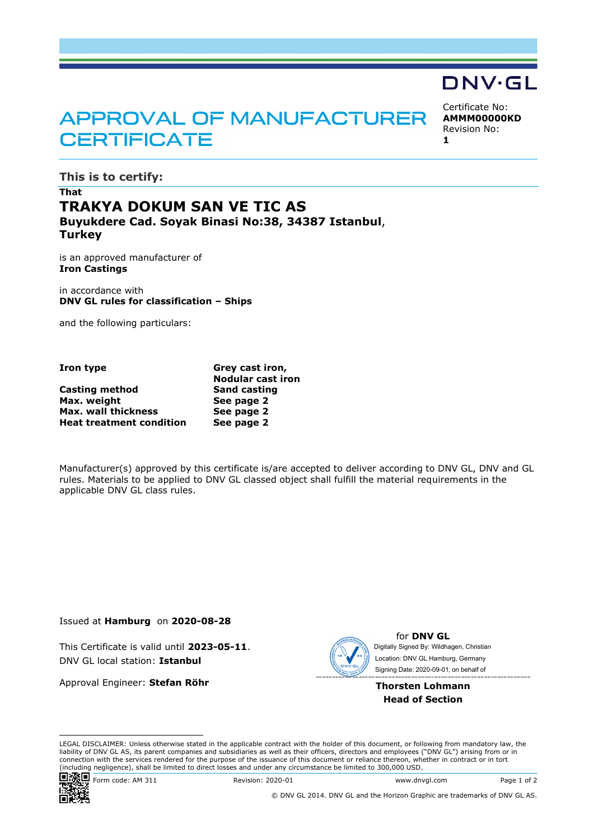# **APPROVAL OF MANUFACTURER CERTIFICATE**

Certificate No: **AMMM00000KD** Revision No: **1**

DNV·GL

**This is to certify:**

### **That TRAKYA DOKUM SAN VE TIC AS Buyukdere Cad. Soyak Binasi No:38, 34387 Istanbul**, **Turkey**

is an approved manufacturer of **Iron Castings**

in accordance with **DNV GL rules for classification – Ships**

and the following particulars:

### **Iron type Grey cast iron,**

|                                 | <b>Nodular cast iron</b> |  |
|---------------------------------|--------------------------|--|
| Casting method                  | <b>Sand casting</b>      |  |
| Max. weight                     | See page 2               |  |
| Max. wall thickness             | See page 2               |  |
| <b>Heat treatment condition</b> | See page 2               |  |

Manufacturer(s) approved by this certificate is/are accepted to deliver according to DNV GL, DNV and GL rules. Materials to be applied to DNV GL classed object shall fulfill the material requirements in the applicable DNV GL class rules.

Issued at **Hamburg** on **2020-08-28**

This Certificate is valid until **2023-05-11**. DNV GL local station: **Istanbul**

Approval Engineer: **Stefan Röhr**



for **DNV GL** Signing Date: 2020-09-01 , on behalf ofDigitally Signed By: Wildhagen, Christian Location: DNV GL Hamburg, Germany

**Thorsten Lohmann Head of Section**

LEGAL DISCLAIMER: Unless otherwise stated in the applicable contract with the holder of this document, or following from mandatory law, the liability of DNV GL AS, its parent companies and subsidiaries as well as their officers, directors and employees ("DNV GL") arising from or in connection with the services rendered for the purpose of the issuance of this document or reliance thereon, whether in contract or in tort (including negligence), shall be limited to direct losses and under any circumstance be limited to 300,000 USD.



**回源回**Form code: AM 311 Revision: 2020-01 Www.dnvgl.com Page 1 of 2

© DNV GL 2014. DNV GL and the Horizon Graphic are trademarks of DNV GL AS.